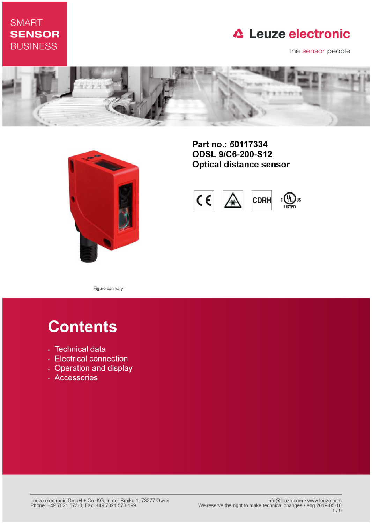## **SMART SENSOR BUSINESS**

# **△ Leuze electronic**

the sensor people





Part no.: 50117334 **ODSL 9/C6-200-S12 Optical distance sensor** 



Figure can vary

# **Contents**

- · Technical data
- Electrical connection
- Operation and display
- · Accessories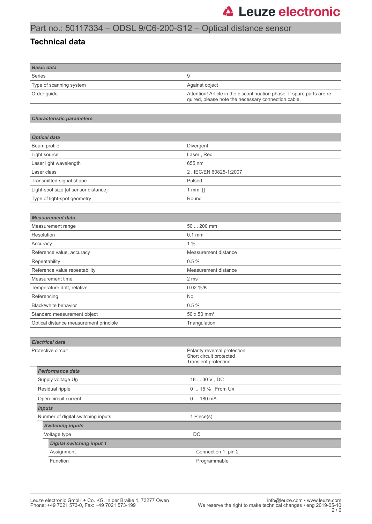### Part no.: 50117334 – ODSL 9/C6-200-S12 – Optical distance sensor

#### **Technical data**

| <b>Basic data</b>       |                                                                                                                                |
|-------------------------|--------------------------------------------------------------------------------------------------------------------------------|
| Series                  | 9                                                                                                                              |
| Type of scanning system | Against object                                                                                                                 |
| Order quide             | Attention! Article in the discontinuation phase. If spare parts are re-<br>quired, please note the necessary connection cable. |

#### *Characteristic parameters*

| <b>Optical data</b>                  |                        |
|--------------------------------------|------------------------|
| Beam profile                         | Divergent              |
| Light source                         | Laser, Red             |
| Laser light wavelength               | 655 nm                 |
| Laser class                          | 2, IEC/EN 60825-1:2007 |
| Transmitted-signal shape             | Pulsed                 |
| Light-spot size [at sensor distance] | 1 mm $\prod$           |
| Type of light-spot geometry          | Round                  |

| <b>Measurement data</b>                |                                |  |
|----------------------------------------|--------------------------------|--|
| Measurement range                      | 50  200 mm                     |  |
| Resolution                             | $0.1$ mm                       |  |
| Accuracy                               | $1\%$                          |  |
| Reference value, accuracy              | Measurement distance           |  |
| Repeatability                          | 0.5%                           |  |
| Reference value repeatability          | Measurement distance           |  |
| Measurement time                       | 2 ms                           |  |
| Temperature drift, relative            | $0.02\%$ /K                    |  |
| Referencing                            | <b>No</b>                      |  |
| Black/white behavior                   | 0.5%                           |  |
| Standard measurement object            | $50 \times 50$ mm <sup>2</sup> |  |
| Optical distance measurement principle | Triangulation                  |  |

#### *Electrical data*

| Protective circuit                 | Polarity reversal protection<br>Short circuit protected<br>Transient protection |  |  |
|------------------------------------|---------------------------------------------------------------------------------|--|--|
| Performance data                   |                                                                                 |  |  |
| Supply voltage U <sub>B</sub>      | 18  30 V, DC                                                                    |  |  |
| Residual ripple                    | 0  15 %, From U <sub>B</sub>                                                    |  |  |
| Open-circuit current               | $0180$ mA                                                                       |  |  |
| <b>Inputs</b>                      |                                                                                 |  |  |
| Number of digital switching inputs | 1 Piece(s)                                                                      |  |  |
| <b>Switching inputs</b>            |                                                                                 |  |  |
| Voltage type                       | DC.                                                                             |  |  |
| <b>Digital switching input 1</b>   |                                                                                 |  |  |
| Assignment                         | Connection 1, pin 2                                                             |  |  |
| Function                           | Programmable                                                                    |  |  |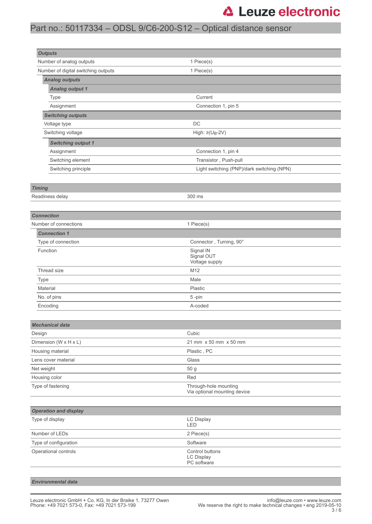# **△ Leuze electronic**

### Part no.: 50117334 – ODSL 9/C6-200-S12 – Optical distance sensor

| <b>Outputs</b>                                    |                                                     |  |  |
|---------------------------------------------------|-----------------------------------------------------|--|--|
| Number of analog outputs                          | 1 Piece(s)                                          |  |  |
| Number of digital switching outputs<br>1 Piece(s) |                                                     |  |  |
| <b>Analog outputs</b>                             |                                                     |  |  |
| <b>Analog output 1</b>                            |                                                     |  |  |
| Type                                              | Current                                             |  |  |
| Assignment<br>Connection 1, pin 5                 |                                                     |  |  |
| <b>Switching outputs</b>                          |                                                     |  |  |
| Voltage type                                      | DC                                                  |  |  |
| Switching voltage                                 | High: $\geq$ (U <sub>B</sub> -2V)                   |  |  |
| <b>Switching output 1</b>                         |                                                     |  |  |
| Assignment                                        | Connection 1, pin 4                                 |  |  |
| Switching element                                 | Transistor, Push-pull                               |  |  |
| Switching principle                               | Light switching (PNP)/dark switching (NPN)          |  |  |
|                                                   |                                                     |  |  |
| <b>Timing</b>                                     |                                                     |  |  |
| Readiness delay                                   | 300 ms                                              |  |  |
|                                                   |                                                     |  |  |
| <b>Connection</b>                                 |                                                     |  |  |
| Number of connections                             | 1 Piece(s)                                          |  |  |
| <b>Connection 1</b>                               |                                                     |  |  |
| Type of connection                                | Connector, Turning, 90°                             |  |  |
| Function                                          | Signal IN                                           |  |  |
|                                                   | Signal OUT<br>Voltage supply                        |  |  |
| Thread size                                       | M12                                                 |  |  |
| Type                                              | Male                                                |  |  |
| Material                                          | Plastic                                             |  |  |
| No. of pins                                       | 5-pin                                               |  |  |
| Encoding                                          | A-coded                                             |  |  |
|                                                   |                                                     |  |  |
| <b>Mechanical data</b>                            |                                                     |  |  |
| Design                                            | Cubic                                               |  |  |
| Dimension (W x H x L)                             | 21 mm x 50 mm x 50 mm                               |  |  |
| Housing material                                  | Plastic, PC                                         |  |  |
| Lens cover material                               | Glass                                               |  |  |
| Net weight                                        | 50 g                                                |  |  |
| Housing color                                     | Red                                                 |  |  |
| Type of fastening                                 | Through-hole mounting                               |  |  |
|                                                   | Via optional mounting device                        |  |  |
|                                                   |                                                     |  |  |
| <b>Operation and display</b>                      |                                                     |  |  |
| Type of display                                   | LC Display<br>LED                                   |  |  |
| Number of LEDs                                    | 2 Piece(s)                                          |  |  |
| Type of configuration                             | Software                                            |  |  |
| Operational controls                              | Control buttons<br><b>LC Display</b><br>PC software |  |  |
|                                                   |                                                     |  |  |

#### *Environmental data*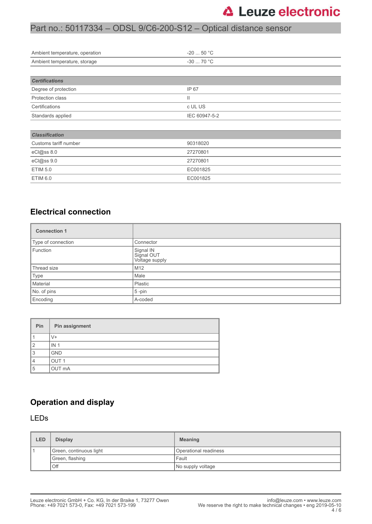# **△ Leuze electronic**

### Part no.: 50117334 – ODSL 9/C6-200-S12 – Optical distance sensor

| Ambient temperature, operation | $-2050 °C$    |  |  |
|--------------------------------|---------------|--|--|
| Ambient temperature, storage   | $-3070 °C$    |  |  |
|                                |               |  |  |
| <b>Certifications</b>          |               |  |  |
| Degree of protection           | IP 67         |  |  |
| Protection class               | Ш             |  |  |
| Certifications                 | c UL US       |  |  |
| Standards applied              | IEC 60947-5-2 |  |  |
|                                |               |  |  |
| <b>Classification</b>          |               |  |  |
| Customs tariff number          | 90318020      |  |  |
| eCl@ss 8.0                     | 27270801      |  |  |
| eCl@ss 9.0                     | 27270801      |  |  |
| <b>ETIM 5.0</b>                | EC001825      |  |  |
| <b>ETIM 6.0</b>                | EC001825      |  |  |
|                                |               |  |  |

#### **Electrical connection**

| <b>Connection 1</b> |                                           |  |
|---------------------|-------------------------------------------|--|
| Type of connection  | Connector                                 |  |
| Function            | Signal IN<br>Signal OUT<br>Voltage supply |  |
| Thread size         | M12                                       |  |
| Type                | Male                                      |  |
| Material            | Plastic                                   |  |
| No. of pins         | $5$ -pin                                  |  |
| Encoding            | A-coded                                   |  |

| Pin            | Pin assignment   |
|----------------|------------------|
|                | V+               |
| $\overline{2}$ | IN <sub>1</sub>  |
| 3              | <b>GND</b>       |
| 4              | OUT <sub>1</sub> |
| 5              | OUT mA           |

#### **Operation and display**

#### LEDs

| LED | <b>Display</b>          | <b>Meaning</b>        |  |
|-----|-------------------------|-----------------------|--|
|     | Green, continuous light | Operational readiness |  |
|     | Green, flashing         | Fault                 |  |
|     | Off                     | No supply voltage     |  |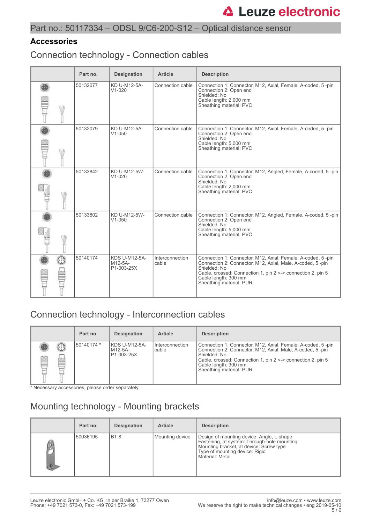#### Part no.: 50117334 – ODSL 9/C6-200-S12 – Optical distance sensor

#### **Accessories**

Connection technology - Connection cables

|       | Part no. | <b>Designation</b>                            | <b>Article</b>           | <b>Description</b>                                                                                                                                                                                                                                         |
|-------|----------|-----------------------------------------------|--------------------------|------------------------------------------------------------------------------------------------------------------------------------------------------------------------------------------------------------------------------------------------------------|
| W     | 50132077 | KD U-M12-5A-<br>$V1 - 020$                    | Connection cable         | Connection 1: Connector, M12, Axial, Female, A-coded, 5-pin<br>Connection 2: Open end<br>Shielded: No<br>Cable length: 2,000 mm<br>Sheathing material: PVC                                                                                                 |
| W     | 50132079 | KD U-M12-5A-<br>$V1 - 050$                    | Connection cable         | Connection 1: Connector, M12, Axial, Female, A-coded, 5-pin<br>Connection 2: Open end<br>Shielded: No<br>Cable length: 5,000 mm<br>Sheathing material: PVC                                                                                                 |
| WU    | 50133842 | KD U-M12-5W-<br>$V1 - 020$                    | Connection cable         | Connection 1: Connector, M12, Angled, Female, A-coded, 5-pin<br>Connection 2: Open end<br>Shielded: No<br>Cable length: 2,000 mm<br>Sheathing material: PVC                                                                                                |
| \ill/ | 50133802 | KD U-M12-5W-<br>$V1 - 050$                    | Connection cable         | Connection 1: Connector, M12, Angled, Female, A-coded, 5-pin<br>Connection 2: Open end<br>Shielded: No<br>Cable length: 5,000 mm<br>Sheathing material: PVC                                                                                                |
|       | 50140174 | <b>KDS U-M12-5A-</b><br>M12-5A-<br>P1-003-25X | Interconnection<br>cable | Connection 1: Connector, M12, Axial, Female, A-coded, 5-pin<br>Connection 2: Connector, M12, Axial, Male, A-coded, 5-pin<br>Shielded: No<br>Cable, crossed: Connection 1, pin 2 <-> connection 2, pin 5<br>Cable length: 300 mm<br>Sheathing material: PUR |

## Connection technology - Interconnection cables

|   |                              | Part no.   | <b>Designation</b>                       | <b>Article</b>           | <b>Description</b>                                                                                                                                                                                                                                         |
|---|------------------------------|------------|------------------------------------------|--------------------------|------------------------------------------------------------------------------------------------------------------------------------------------------------------------------------------------------------------------------------------------------------|
| Ø | $\left( \ldots \right)$<br>燃 | 50140174 * | KDS U-M12-5A-<br>l M12-5A-<br>P1-003-25X | Interconnection<br>cable | Connection 1: Connector, M12, Axial, Female, A-coded, 5-pin<br>Connection 2: Connector, M12, Axial, Male, A-coded, 5-pin<br>Shielded: No<br>Cable, crossed: Connection 1, pin 2 <-> connection 2, pin 5<br>Cable length: 300 mm<br>Sheathing material: PUR |

\* Necessary accessories, please order separately

## Mounting technology - Mounting brackets

| Part no. | <b>Designation</b> | <b>Article</b>  | <b>Description</b>                                                                                                                                                                       |
|----------|--------------------|-----------------|------------------------------------------------------------------------------------------------------------------------------------------------------------------------------------------|
| 50036195 | BT <sub>8</sub>    | Mounting device | Design of mounting device: Angle, L-shape<br>Fastening, at system: Through-hole mounting<br>Mounting bracket, at device: Screw type<br>Type of mounting device: Rigid<br>Material: Metal |